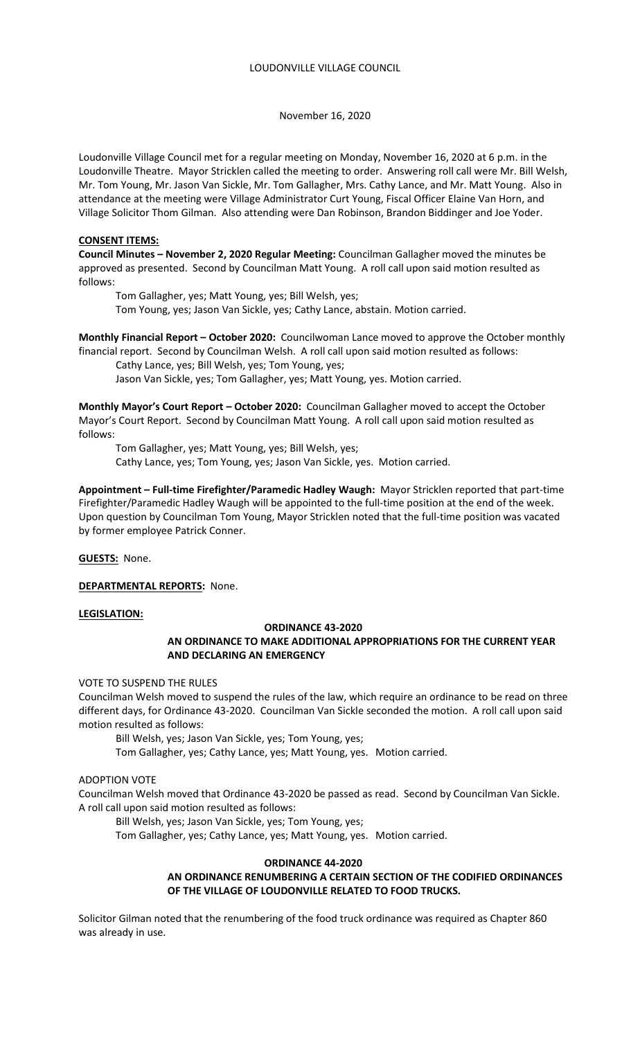Loudonville Village Council met for a regular meeting on Monday, November 16, 2020 at 6 p.m. in the Loudonville Theatre. Mayor Stricklen called the meeting to order. Answering roll call were Mr. Bill Welsh, Mr. Tom Young, Mr. Jason Van Sickle, Mr. Tom Gallagher, Mrs. Cathy Lance, and Mr. Matt Young. Also in attendance at the meeting were Village Administrator Curt Young, Fiscal Officer Elaine Van Horn, and Village Solicitor Thom Gilman. Also attending were Dan Robinson, Brandon Biddinger and Joe Yoder.

# **CONSENT ITEMS:**

**Council Minutes – November 2, 2020 Regular Meeting:** Councilman Gallagher moved the minutes be approved as presented. Second by Councilman Matt Young. A roll call upon said motion resulted as follows:

 Tom Gallagher, yes; Matt Young, yes; Bill Welsh, yes; Tom Young, yes; Jason Van Sickle, yes; Cathy Lance, abstain. Motion carried.

**Monthly Financial Report – October 2020:** Councilwoman Lance moved to approve the October monthly financial report. Second by Councilman Welsh. A roll call upon said motion resulted as follows:

Cathy Lance, yes; Bill Welsh, yes; Tom Young, yes;

Jason Van Sickle, yes; Tom Gallagher, yes; Matt Young, yes. Motion carried.

**Monthly Mayor's Court Report – October 2020:** Councilman Gallagher moved to accept the October Mayor's Court Report. Second by Councilman Matt Young. A roll call upon said motion resulted as follows:

 Tom Gallagher, yes; Matt Young, yes; Bill Welsh, yes; Cathy Lance, yes; Tom Young, yes; Jason Van Sickle, yes. Motion carried.

**Appointment – Full-time Firefighter/Paramedic Hadley Waugh:** Mayor Stricklen reported that part-time Firefighter/Paramedic Hadley Waugh will be appointed to the full-time position at the end of the week. Upon question by Councilman Tom Young, Mayor Stricklen noted that the full-time position was vacated by former employee Patrick Conner.

**GUESTS:** None.

**DEPARTMENTAL REPORTS:** None.

## **LEGISLATION:**

# **ORDINANCE 43-2020**

# **AN ORDINANCE TO MAKE ADDITIONAL APPROPRIATIONS FOR THE CURRENT YEAR AND DECLARING AN EMERGENCY**

VOTE TO SUSPEND THE RULES

Councilman Welsh moved to suspend the rules of the law, which require an ordinance to be read on three different days, for Ordinance 43-2020. Councilman Van Sickle seconded the motion. A roll call upon said motion resulted as follows:

Bill Welsh, yes; Jason Van Sickle, yes; Tom Young, yes;

Tom Gallagher, yes; Cathy Lance, yes; Matt Young, yes. Motion carried.

# ADOPTION VOTE

Councilman Welsh moved that Ordinance 43-2020 be passed as read. Second by Councilman Van Sickle. A roll call upon said motion resulted as follows:

Bill Welsh, yes; Jason Van Sickle, yes; Tom Young, yes;

Tom Gallagher, yes; Cathy Lance, yes; Matt Young, yes. Motion carried.

# **ORDINANCE 44-2020**

# **AN ORDINANCE RENUMBERING A CERTAIN SECTION OF THE CODIFIED ORDINANCES OF THE VILLAGE OF LOUDONVILLE RELATED TO FOOD TRUCKS.**

Solicitor Gilman noted that the renumbering of the food truck ordinance was required as Chapter 860 was already in use.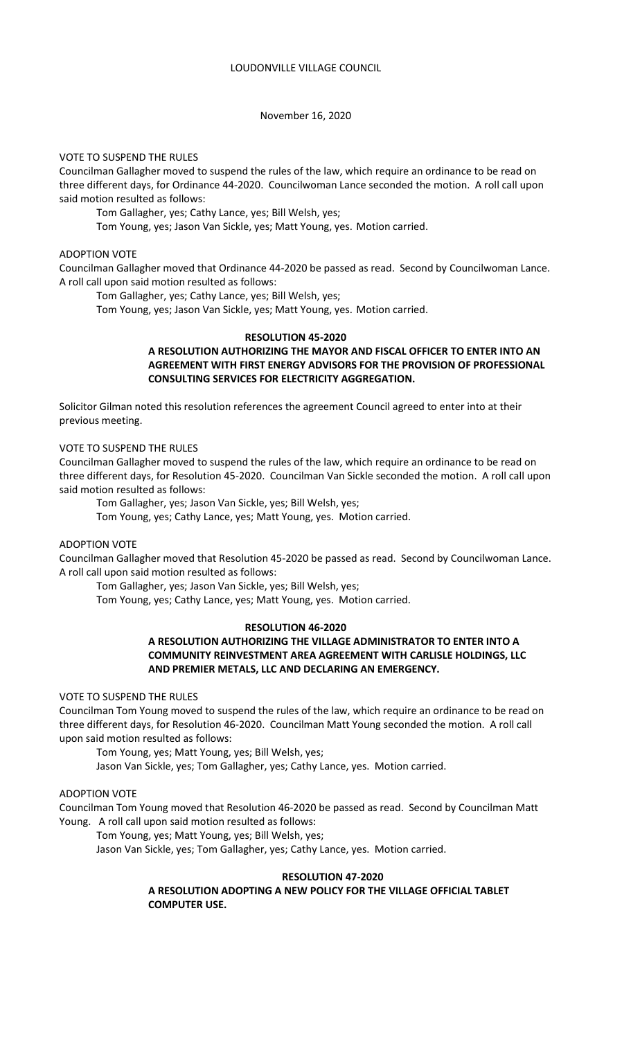### VOTE TO SUSPEND THE RULES

Councilman Gallagher moved to suspend the rules of the law, which require an ordinance to be read on three different days, for Ordinance 44-2020. Councilwoman Lance seconded the motion. A roll call upon said motion resulted as follows:

Tom Gallagher, yes; Cathy Lance, yes; Bill Welsh, yes;

Tom Young, yes; Jason Van Sickle, yes; Matt Young, yes. Motion carried.

#### ADOPTION VOTE

Councilman Gallagher moved that Ordinance 44-2020 be passed as read. Second by Councilwoman Lance. A roll call upon said motion resulted as follows:

Tom Gallagher, yes; Cathy Lance, yes; Bill Welsh, yes;

Tom Young, yes; Jason Van Sickle, yes; Matt Young, yes. Motion carried.

## **RESOLUTION 45-2020**

# **A RESOLUTION AUTHORIZING THE MAYOR AND FISCAL OFFICER TO ENTER INTO AN AGREEMENT WITH FIRST ENERGY ADVISORS FOR THE PROVISION OF PROFESSIONAL CONSULTING SERVICES FOR ELECTRICITY AGGREGATION.**

Solicitor Gilman noted this resolution references the agreement Council agreed to enter into at their previous meeting.

### VOTE TO SUSPEND THE RULES

Councilman Gallagher moved to suspend the rules of the law, which require an ordinance to be read on three different days, for Resolution 45-2020. Councilman Van Sickle seconded the motion. A roll call upon said motion resulted as follows:

Tom Gallagher, yes; Jason Van Sickle, yes; Bill Welsh, yes;

Tom Young, yes; Cathy Lance, yes; Matt Young, yes. Motion carried.

# ADOPTION VOTE

Councilman Gallagher moved that Resolution 45-2020 be passed as read. Second by Councilwoman Lance. A roll call upon said motion resulted as follows:

Tom Gallagher, yes; Jason Van Sickle, yes; Bill Welsh, yes;

Tom Young, yes; Cathy Lance, yes; Matt Young, yes. Motion carried.

#### **RESOLUTION 46-2020**

# **A RESOLUTION AUTHORIZING THE VILLAGE ADMINISTRATOR TO ENTER INTO A COMMUNITY REINVESTMENT AREA AGREEMENT WITH CARLISLE HOLDINGS, LLC AND PREMIER METALS, LLC AND DECLARING AN EMERGENCY.**

## VOTE TO SUSPEND THE RULES

Councilman Tom Young moved to suspend the rules of the law, which require an ordinance to be read on three different days, for Resolution 46-2020. Councilman Matt Young seconded the motion. A roll call upon said motion resulted as follows:

Tom Young, yes; Matt Young, yes; Bill Welsh, yes;

Jason Van Sickle, yes; Tom Gallagher, yes; Cathy Lance, yes. Motion carried.

## ADOPTION VOTE

Councilman Tom Young moved that Resolution 46-2020 be passed as read. Second by Councilman Matt Young. A roll call upon said motion resulted as follows:

Tom Young, yes; Matt Young, yes; Bill Welsh, yes;

Jason Van Sickle, yes; Tom Gallagher, yes; Cathy Lance, yes. Motion carried.

## **RESOLUTION 47-2020**

# **A RESOLUTION ADOPTING A NEW POLICY FOR THE VILLAGE OFFICIAL TABLET COMPUTER USE.**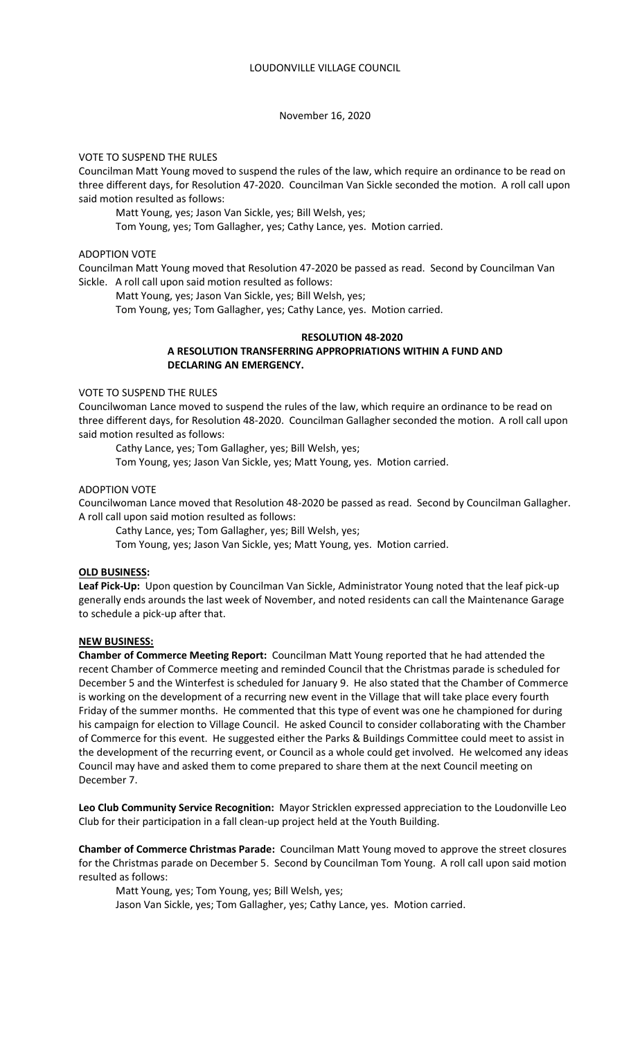# VOTE TO SUSPEND THE RULES

Councilman Matt Young moved to suspend the rules of the law, which require an ordinance to be read on three different days, for Resolution 47-2020. Councilman Van Sickle seconded the motion. A roll call upon said motion resulted as follows:

Matt Young, yes; Jason Van Sickle, yes; Bill Welsh, yes;

Tom Young, yes; Tom Gallagher, yes; Cathy Lance, yes. Motion carried.

#### ADOPTION VOTE

Councilman Matt Young moved that Resolution 47-2020 be passed as read. Second by Councilman Van Sickle. A roll call upon said motion resulted as follows:

Matt Young, yes; Jason Van Sickle, yes; Bill Welsh, yes;

Tom Young, yes; Tom Gallagher, yes; Cathy Lance, yes. Motion carried.

## **RESOLUTION 48-2020**

# **A RESOLUTION TRANSFERRING APPROPRIATIONS WITHIN A FUND AND DECLARING AN EMERGENCY.**

# VOTE TO SUSPEND THE RULES

Councilwoman Lance moved to suspend the rules of the law, which require an ordinance to be read on three different days, for Resolution 48-2020. Councilman Gallagher seconded the motion. A roll call upon said motion resulted as follows:

Cathy Lance, yes; Tom Gallagher, yes; Bill Welsh, yes;

Tom Young, yes; Jason Van Sickle, yes; Matt Young, yes. Motion carried.

### ADOPTION VOTE

Councilwoman Lance moved that Resolution 48-2020 be passed as read. Second by Councilman Gallagher. A roll call upon said motion resulted as follows:

Cathy Lance, yes; Tom Gallagher, yes; Bill Welsh, yes;

Tom Young, yes; Jason Van Sickle, yes; Matt Young, yes. Motion carried.

### **OLD BUSINESS:**

**Leaf Pick-Up:** Upon question by Councilman Van Sickle, Administrator Young noted that the leaf pick-up generally ends arounds the last week of November, and noted residents can call the Maintenance Garage to schedule a pick-up after that.

### **NEW BUSINESS:**

**Chamber of Commerce Meeting Report:** Councilman Matt Young reported that he had attended the recent Chamber of Commerce meeting and reminded Council that the Christmas parade is scheduled for December 5 and the Winterfest is scheduled for January 9. He also stated that the Chamber of Commerce is working on the development of a recurring new event in the Village that will take place every fourth Friday of the summer months. He commented that this type of event was one he championed for during his campaign for election to Village Council. He asked Council to consider collaborating with the Chamber of Commerce for this event. He suggested either the Parks & Buildings Committee could meet to assist in the development of the recurring event, or Council as a whole could get involved. He welcomed any ideas Council may have and asked them to come prepared to share them at the next Council meeting on December 7.

**Leo Club Community Service Recognition:** Mayor Stricklen expressed appreciation to the Loudonville Leo Club for their participation in a fall clean-up project held at the Youth Building.

**Chamber of Commerce Christmas Parade:** Councilman Matt Young moved to approve the street closures for the Christmas parade on December 5. Second by Councilman Tom Young. A roll call upon said motion resulted as follows:

Matt Young, yes; Tom Young, yes; Bill Welsh, yes;

Jason Van Sickle, yes; Tom Gallagher, yes; Cathy Lance, yes. Motion carried.